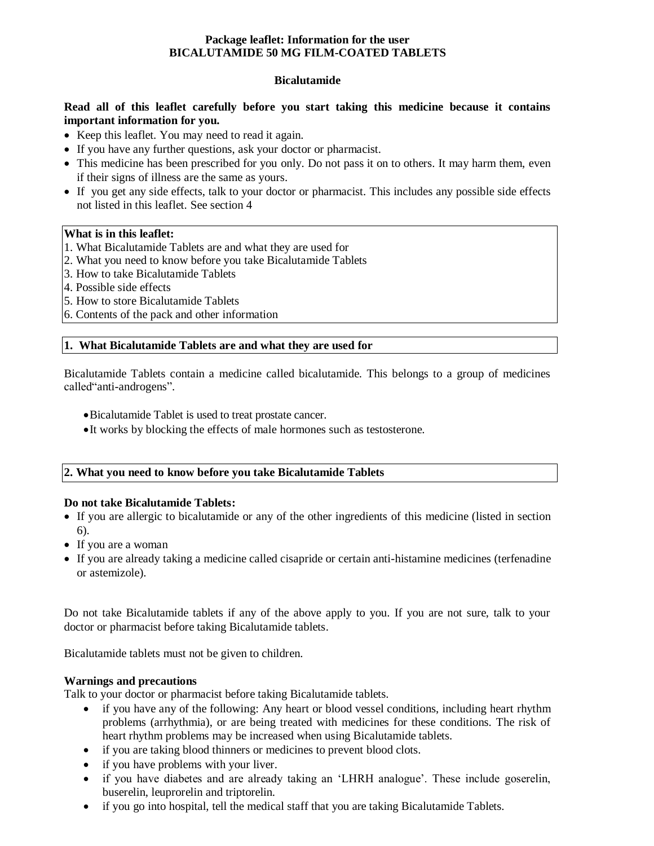# **Package leaflet: Information for the user BICALUTAMIDE 50 MG FILM-COATED TABLETS**

### **Bicalutamide**

### **Read all of this leaflet carefully before you start taking this medicine because it contains important information for you.**

- Keep this leaflet. You may need to read it again.
- If you have any further questions, ask your doctor or pharmacist.
- This medicine has been prescribed for you only. Do not pass it on to others. It may harm them, even if their signs of illness are the same as yours.
- If you get any side effects, talk to your doctor or pharmacist. This includes any possible side effects not listed in this leaflet. See section 4

### **What is in this leaflet:**

- 1. What Bicalutamide Tablets are and what they are used for
- 2. What you need to know before you take Bicalutamide Tablets
- 3. How to take Bicalutamide Tablets
- 4. Possible side effects
- 5. How to store Bicalutamide Tablets
- 6. Contents of the pack and other information

# **1. What Bicalutamide Tablets are and what they are used for**

Bicalutamide Tablets contain a medicine called bicalutamide. This belongs to a group of medicines called"anti-androgens".

- Bicalutamide Tablet is used to treat prostate cancer.
- It works by blocking the effects of male hormones such as testosterone.

# **2. What you need to know before you take Bicalutamide Tablets**

#### **Do not take Bicalutamide Tablets:**

- If you are allergic to bicalutamide or any of the other ingredients of this medicine (listed in section 6).
- If you are a woman
- If you are already taking a medicine called cisapride or certain anti-histamine medicines (terfenadine or astemizole).

Do not take Bicalutamide tablets if any of the above apply to you. If you are not sure, talk to your doctor or pharmacist before taking Bicalutamide tablets.

Bicalutamide tablets must not be given to children.

### **Warnings and precautions**

Talk to your doctor or pharmacist before taking Bicalutamide tablets.

- if you have any of the following: Any heart or blood vessel conditions, including heart rhythm problems (arrhythmia), or are being treated with medicines for these conditions. The risk of heart rhythm problems may be increased when using Bicalutamide tablets.
- if you are taking blood thinners or medicines to prevent blood clots.
- if you have problems with your liver.
- if you have diabetes and are already taking an 'LHRH analogue'. These include goserelin, buserelin, leuprorelin and triptorelin.
- if you go into hospital, tell the medical staff that you are taking Bicalutamide Tablets.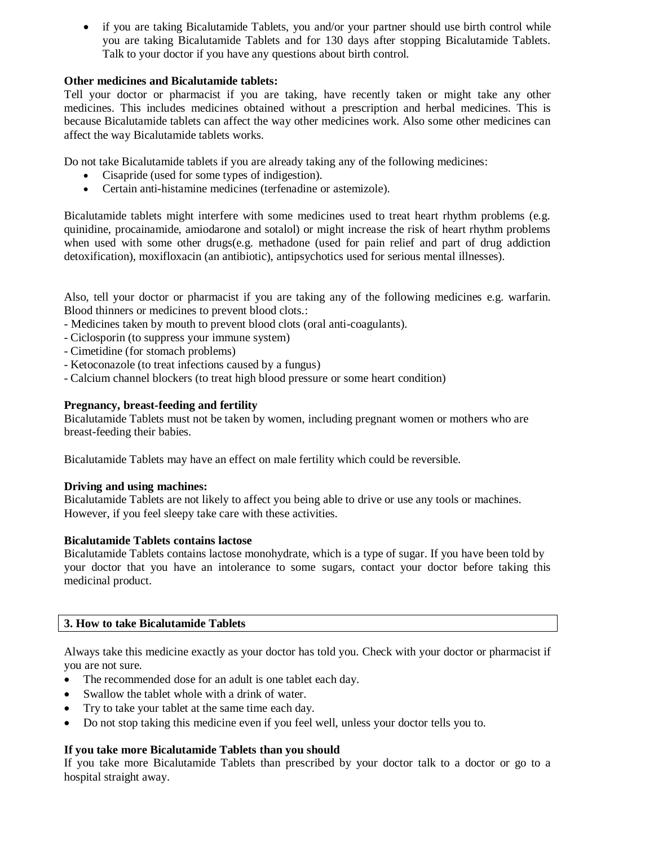if you are taking Bicalutamide Tablets, you and/or your partner should use birth control while you are taking Bicalutamide Tablets and for 130 days after stopping Bicalutamide Tablets. Talk to your doctor if you have any questions about birth control.

# **Other medicines and Bicalutamide tablets:**

Tell your doctor or pharmacist if you are taking, have recently taken or might take any other medicines. This includes medicines obtained without a prescription and herbal medicines. This is because Bicalutamide tablets can affect the way other medicines work. Also some other medicines can affect the way Bicalutamide tablets works.

Do not take Bicalutamide tablets if you are already taking any of the following medicines:

- Cisapride (used for some types of indigestion).
- Certain anti-histamine medicines (terfenadine or astemizole).

Bicalutamide tablets might interfere with some medicines used to treat heart rhythm problems (e.g. quinidine, procainamide, amiodarone and sotalol) or might increase the risk of heart rhythm problems when used with some other drugs(e.g. methadone (used for pain relief and part of drug addiction detoxification), moxifloxacin (an antibiotic), antipsychotics used for serious mental illnesses).

Also, tell your doctor or pharmacist if you are taking any of the following medicines e.g. warfarin. Blood thinners or medicines to prevent blood clots.:

- Medicines taken by mouth to prevent blood clots (oral anti-coagulants).
- Ciclosporin (to suppress your immune system)
- Cimetidine (for stomach problems)
- Ketoconazole (to treat infections caused by a fungus)
- Calcium channel blockers (to treat high blood pressure or some heart condition)

# **Pregnancy, breast-feeding and fertility**

Bicalutamide Tablets must not be taken by women, including pregnant women or mothers who are breast-feeding their babies.

Bicalutamide Tablets may have an effect on male fertility which could be reversible.

# **Driving and using machines:**

Bicalutamide Tablets are not likely to affect you being able to drive or use any tools or machines. However, if you feel sleepy take care with these activities.

# **Bicalutamide Tablets contains lactose**

Bicalutamide Tablets contains lactose monohydrate, which is a type of sugar. If you have been told by your doctor that you have an intolerance to some sugars, contact your doctor before taking this medicinal product.

# **3. How to take Bicalutamide Tablets**

Always take this medicine exactly as your doctor has told you. Check with your doctor or pharmacist if you are not sure.

- The recommended dose for an adult is one tablet each day.
- Swallow the tablet whole with a drink of water.
- Try to take your tablet at the same time each day.
- Do not stop taking this medicine even if you feel well, unless your doctor tells you to.

# **If you take more Bicalutamide Tablets than you should**

If you take more Bicalutamide Tablets than prescribed by your doctor talk to a doctor or go to a hospital straight away.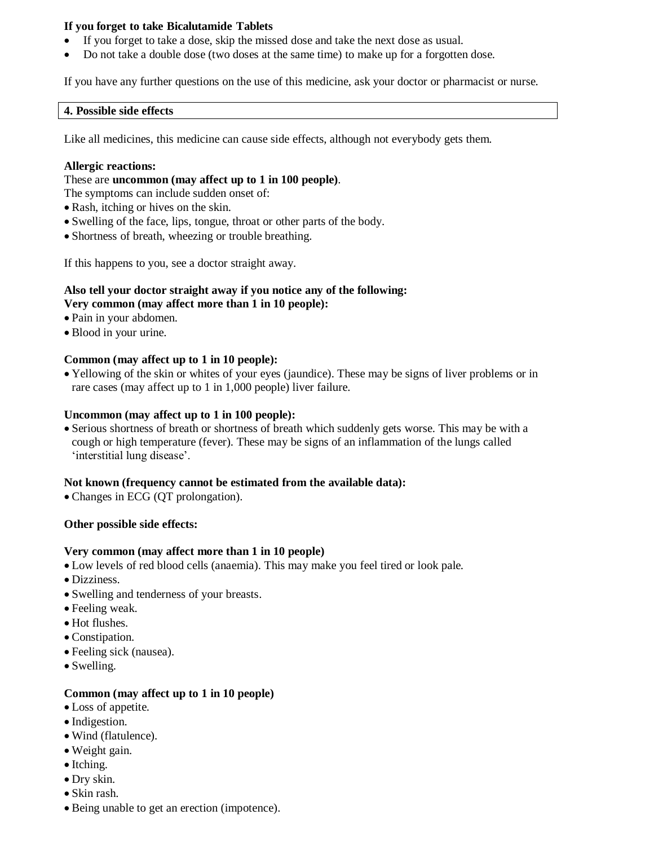# **If you forget to take Bicalutamide Tablets**

- If you forget to take a dose, skip the missed dose and take the next dose as usual.
- Do not take a double dose (two doses at the same time) to make up for a forgotten dose.

If you have any further questions on the use of this medicine, ask your doctor or pharmacist or nurse.

### **4. Possible side effects**

Like all medicines, this medicine can cause side effects, although not everybody gets them.

### **Allergic reactions:**

### These are **uncommon (may affect up to 1 in 100 people)**.

The symptoms can include sudden onset of:

- Rash, itching or hives on the skin.
- Swelling of the face, lips, tongue, throat or other parts of the body.
- Shortness of breath, wheezing or trouble breathing.

If this happens to you, see a doctor straight away.

# **Also tell your doctor straight away if you notice any of the following: Very common (may affect more than 1 in 10 people):**

- Pain in your abdomen.
- Blood in your urine.

# **Common (may affect up to 1 in 10 people):**

 Yellowing of the skin or whites of your eyes (jaundice). These may be signs of liver problems or in rare cases (may affect up to 1 in 1,000 people) liver failure.

### **Uncommon (may affect up to 1 in 100 people):**

 Serious shortness of breath or shortness of breath which suddenly gets worse. This may be with a cough or high temperature (fever). These may be signs of an inflammation of the lungs called 'interstitial lung disease'.

# **Not known (frequency cannot be estimated from the available data):**

Changes in ECG (QT prolongation).

# **Other possible side effects:**

# **Very common (may affect more than 1 in 10 people)**

- Low levels of red blood cells (anaemia). This may make you feel tired or look pale.
- Dizziness.
- Swelling and tenderness of your breasts.
- Feeling weak.
- Hot flushes.
- Constination.
- Feeling sick (nausea).
- Swelling.

# **Common (may affect up to 1 in 10 people)**

- Loss of appetite.
- Indigestion.
- Wind (flatulence).
- Weight gain.
- Itching.
- Dry skin.
- Skin rash.
- Being unable to get an erection (impotence).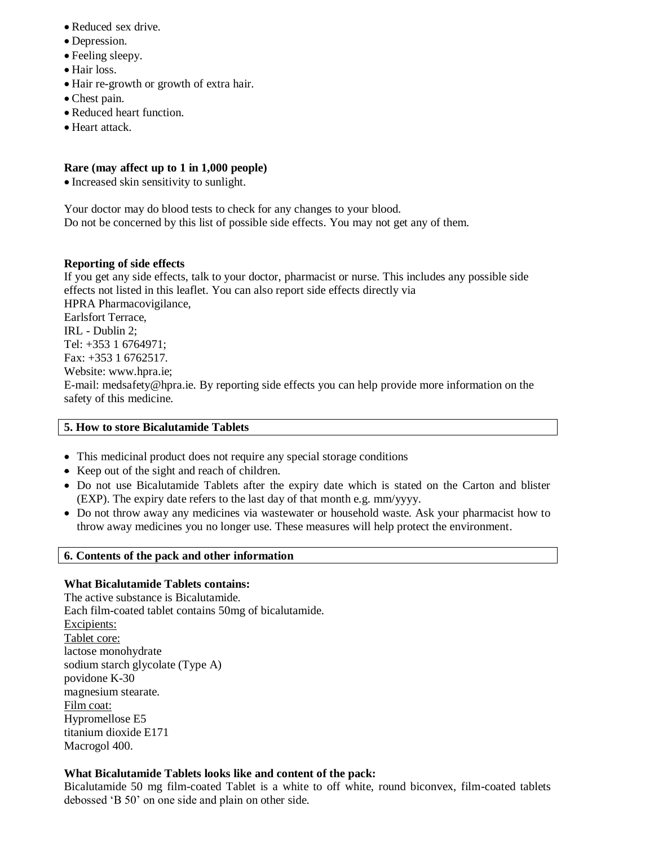- Reduced sex drive.
- Depression.
- Feeling sleepy.
- Hair loss.
- Hair re-growth or growth of extra hair.
- Chest pain.
- Reduced heart function.
- Heart attack.

# **Rare (may affect up to 1 in 1,000 people)**

• Increased skin sensitivity to sunlight.

Your doctor may do blood tests to check for any changes to your blood. Do not be concerned by this list of possible side effects. You may not get any of them.

# **Reporting of side effects**

If you get any side effects, talk to your doctor, pharmacist or nurse. This includes any possible side effects not listed in this leaflet. You can also report side effects directly via HPRA Pharmacovigilance, Earlsfort Terrace, IRL - Dublin 2; Tel: +353 1 6764971; Fax: +353 1 6762517. Website: www.hpra.ie; E-mail: medsafety@hpra.ie. By reporting side effects you can help provide more information on the safety of this medicine.

### **5. How to store Bicalutamide Tablets**

- This medicinal product does not require any special storage conditions
- Keep out of the sight and reach of children.
- Do not use Bicalutamide Tablets after the expiry date which is stated on the Carton and blister (EXP). The expiry date refers to the last day of that month e.g. mm/yyyy.
- Do not throw away any medicines via wastewater or household waste. Ask your pharmacist how to throw away medicines you no longer use. These measures will help protect the environment.

# **6. Contents of the pack and other information**

# **What Bicalutamide Tablets contains:**

The active substance is Bicalutamide. Each film-coated tablet contains 50mg of bicalutamide. Excipients: Tablet core: lactose monohydrate sodium starch glycolate (Type A) povidone K-30 magnesium stearate. Film coat: Hypromellose E5 titanium dioxide E171 Macrogol 400.

# **What Bicalutamide Tablets looks like and content of the pack:**

Bicalutamide 50 mg film-coated Tablet is a white to off white, round biconvex, film-coated tablets debossed 'B 50' on one side and plain on other side.